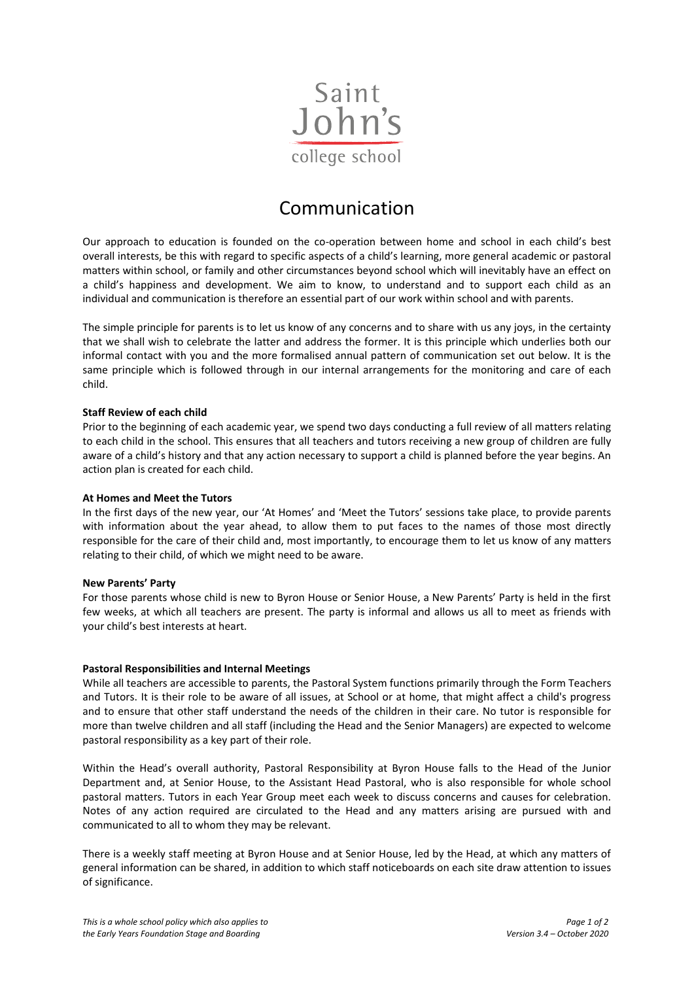

# Communication

Our approach to education is founded on the co-operation between home and school in each child's best overall interests, be this with regard to specific aspects of a child's learning, more general academic or pastoral matters within school, or family and other circumstances beyond school which will inevitably have an effect on a child's happiness and development. We aim to know, to understand and to support each child as an individual and communication is therefore an essential part of our work within school and with parents.

The simple principle for parents is to let us know of any concerns and to share with us any joys, in the certainty that we shall wish to celebrate the latter and address the former. It is this principle which underlies both our informal contact with you and the more formalised annual pattern of communication set out below. It is the same principle which is followed through in our internal arrangements for the monitoring and care of each child.

#### **Staff Review of each child**

Prior to the beginning of each academic year, we spend two days conducting a full review of all matters relating to each child in the school. This ensures that all teachers and tutors receiving a new group of children are fully aware of a child's history and that any action necessary to support a child is planned before the year begins. An action plan is created for each child.

# **At Homes and Meet the Tutors**

In the first days of the new year, our 'At Homes' and 'Meet the Tutors' sessions take place, to provide parents with information about the year ahead, to allow them to put faces to the names of those most directly responsible for the care of their child and, most importantly, to encourage them to let us know of any matters relating to their child, of which we might need to be aware.

# **New Parents' Party**

For those parents whose child is new to Byron House or Senior House, a New Parents' Party is held in the first few weeks, at which all teachers are present. The party is informal and allows us all to meet as friends with your child's best interests at heart.

# **Pastoral Responsibilities and Internal Meetings**

While all teachers are accessible to parents, the Pastoral System functions primarily through the Form Teachers and Tutors. It is their role to be aware of all issues, at School or at home, that might affect a child's progress and to ensure that other staff understand the needs of the children in their care. No tutor is responsible for more than twelve children and all staff (including the Head and the Senior Managers) are expected to welcome pastoral responsibility as a key part of their role.

Within the Head's overall authority, Pastoral Responsibility at Byron House falls to the Head of the Junior Department and, at Senior House, to the Assistant Head Pastoral, who is also responsible for whole school pastoral matters. Tutors in each Year Group meet each week to discuss concerns and causes for celebration. Notes of any action required are circulated to the Head and any matters arising are pursued with and communicated to all to whom they may be relevant.

There is a weekly staff meeting at Byron House and at Senior House, led by the Head, at which any matters of general information can be shared, in addition to which staff noticeboards on each site draw attention to issues of significance.